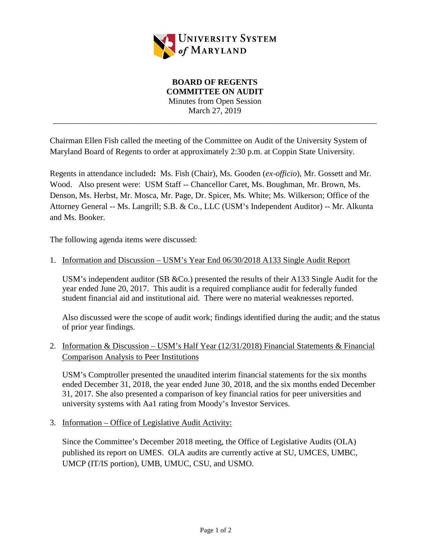

## **BOARD OF REGENTS COMMITTEE ON AUDIT** Minutes from Open Session March 27, 2019 \_\_\_\_\_\_\_\_\_\_\_\_\_\_\_\_\_\_\_\_\_\_\_\_\_\_\_\_\_\_\_\_\_\_\_\_\_\_\_\_\_\_\_\_\_\_\_\_\_\_\_\_\_\_\_\_\_\_\_\_\_\_\_\_\_\_\_\_\_\_\_\_\_\_\_\_\_\_

Chairman Ellen Fish called the meeting of the Committee on Audit of the University System of Maryland Board of Regents to order at approximately 2:30 p.m. at Coppin State University.

Regents in attendance included**:** Ms. Fish (Chair), Ms. Gooden (*ex-officio*), Mr. Gossett and Mr. Wood. Also present were: USM Staff -- Chancellor Caret, Ms. Boughman, Mr. Brown, Ms. Denson, Ms. Herbst, Mr. Mosca, Mr. Page, Dr. Spicer, Ms. White; Ms. Wilkerson; Office of the Attorney General -- Ms. Langrill; S.B. & Co., LLC (USM's Independent Auditor) -- Mr. Alkunta and Ms. Booker.

The following agenda items were discussed:

## 1. Information and Discussion – USM's Year End 06/30/2018 A133 Single Audit Report

USM's independent auditor (SB &Co.) presented the results of their A133 Single Audit for the year ended June 20, 2017. This audit is a required compliance audit for federally funded student financial aid and institutional aid. There were no material weaknesses reported.

Also discussed were the scope of audit work; findings identified during the audit; and the status of prior year findings.

## 2. Information & Discussion – USM's Half Year (12/31/2018) Financial Statements & Financial Comparison Analysis to Peer Institutions

USM's Comptroller presented the unaudited interim financial statements for the six months ended December 31, 2018, the year ended June 30, 2018, and the six months ended December 31, 2017. She also presented a comparison of key financial ratios for peer universities and university systems with Aa1 rating from Moody's Investor Services.

3. Information – Office of Legislative Audit Activity:

Since the Committee's December 2018 meeting, the Office of Legislative Audits (OLA) published its report on UMES. OLA audits are currently active at SU, UMCES, UMBC, UMCP (IT/IS portion), UMB, UMUC, CSU, and USMO.